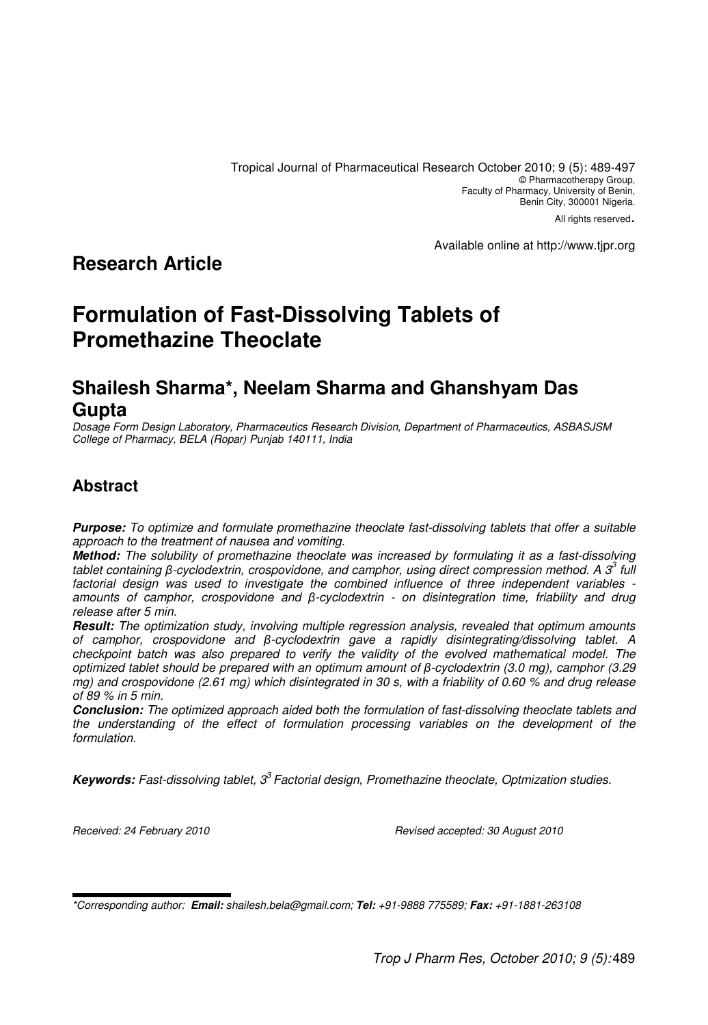Tropical Journal of Pharmaceutical Research October 2010; 9 (5): 489-497 © Pharmacotherapy Group, Faculty of Pharmacy, University of Benin, Benin City, 300001 Nigeria. All rights reserved.

Available online at http://www.tjpr.org

# **Research Article**

# **Formulation of Fast-Dissolving Tablets of Promethazine Theoclate**

# **Shailesh Sharma\*, Neelam Sharma and Ghanshyam Das Gupta**

Dosage Form Design Laboratory, Pharmaceutics Research Division, Department of Pharmaceutics, ASBASJSM College of Pharmacy, BELA (Ropar) Punjab 140111, India

## **Abstract**

**Purpose:** To optimize and formulate promethazine theoclate fast-dissolving tablets that offer a suitable approach to the treatment of nausea and vomiting.

**Method:** The solubility of promethazine theoclate was increased by formulating it as a fast-dissolving tablet containing  $\beta$ -cyclodextrin, crospovidone, and camphor, using direct compression method. A  $3^3$  full factorial design was used to investigate the combined influence of three independent variables amounts of camphor, crospovidone and β-cyclodextrin - on disintegration time, friability and drug release after 5 min.

**Result:** The optimization study, involving multiple regression analysis, revealed that optimum amounts of camphor, crospovidone and β-cyclodextrin gave a rapidly disintegrating/dissolving tablet. A checkpoint batch was also prepared to verify the validity of the evolved mathematical model. The optimized tablet should be prepared with an optimum amount of β-cyclodextrin (3.0 mg), camphor (3.29 mg) and crospovidone (2.61 mg) which disintegrated in 30 s, with a friability of 0.60 % and drug release of 89 % in 5 min.

**Conclusion:** The optimized approach aided both the formulation of fast-dissolving theoclate tablets and the understanding of the effect of formulation processing variables on the development of the formulation.

Kevwords: Fast-dissolving tablet, 3<sup>3</sup> Factorial design, Promethazine theoclate, Optmization studies.

Received: 24 February 2010 Revised accepted: 30 August 2010

\*Corresponding author: **Email:** shailesh.bela@gmail.com; **Tel:** +91-9888 775589; **Fax:** +91-1881-263108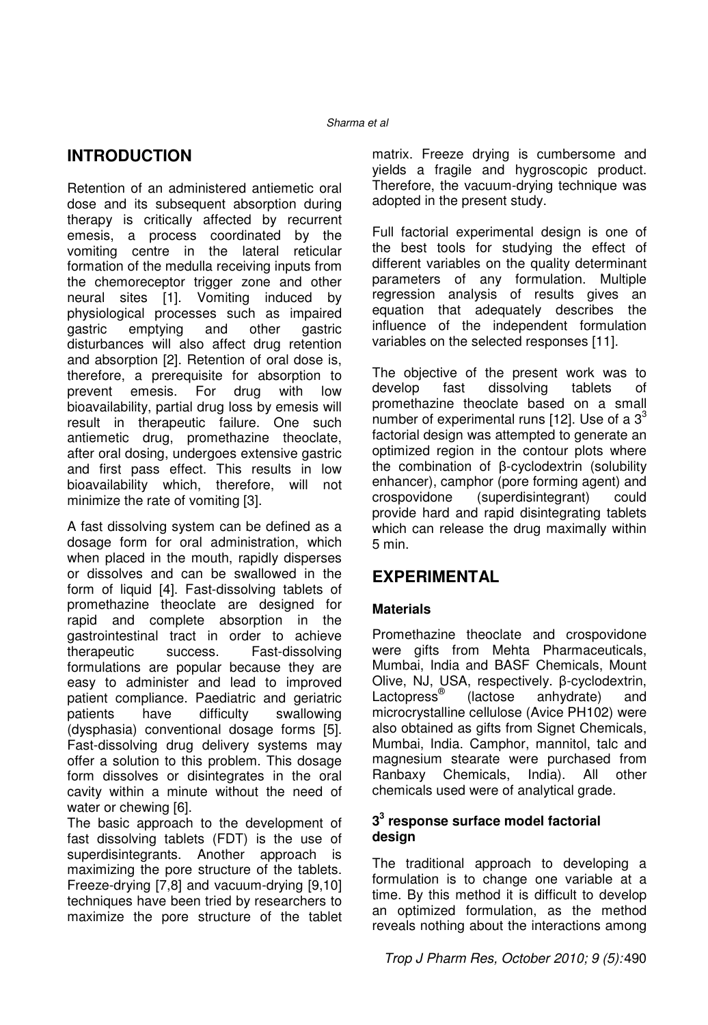# **INTRODUCTION**

Retention of an administered antiemetic oral dose and its subsequent absorption during therapy is critically affected by recurrent emesis, a process coordinated by the vomiting centre in the lateral reticular formation of the medulla receiving inputs from the chemoreceptor trigger zone and other neural sites [1]. Vomiting induced by physiological processes such as impaired gastric emptying and other gastric disturbances will also affect drug retention and absorption [2]. Retention of oral dose is, therefore, a prerequisite for absorption to<br>prevent emesis. For drug with low prevent emesis. For drug with low bioavailability, partial drug loss by emesis will result in therapeutic failure. One such antiemetic drug, promethazine theoclate, after oral dosing, undergoes extensive gastric and first pass effect. This results in low bioavailability which, therefore, will not minimize the rate of vomiting [3].

A fast dissolving system can be defined as a dosage form for oral administration, which when placed in the mouth, rapidly disperses or dissolves and can be swallowed in the form of liquid [4]. Fast-dissolving tablets of promethazine theoclate are designed for rapid and complete absorption in the gastrointestinal tract in order to achieve therapeutic success. Fast-dissolving formulations are popular because they are easy to administer and lead to improved patient compliance. Paediatric and geriatric patients have difficulty swallowing (dysphasia) conventional dosage forms [5]. Fast-dissolving drug delivery systems may offer a solution to this problem. This dosage form dissolves or disintegrates in the oral cavity within a minute without the need of water or chewing [6].

The basic approach to the development of fast dissolving tablets (FDT) is the use of superdisintegrants. Another approach is maximizing the pore structure of the tablets. Freeze-drying [7,8] and vacuum-drying [9,10] techniques have been tried by researchers to maximize the pore structure of the tablet matrix. Freeze drying is cumbersome and yields a fragile and hygroscopic product. Therefore, the vacuum-drying technique was adopted in the present study.

Full factorial experimental design is one of the best tools for studying the effect of different variables on the quality determinant parameters of any formulation. Multiple regression analysis of results gives an equation that adequately describes the influence of the independent formulation variables on the selected responses [11].

The objective of the present work was to develop fast dissolving tablets of promethazine theoclate based on a small number of experimental runs [12]. Use of a  $3<sup>3</sup>$ factorial design was attempted to generate an optimized region in the contour plots where the combination of β-cyclodextrin (solubility enhancer), camphor (pore forming agent) and crospovidone (superdisintegrant) could provide hard and rapid disintegrating tablets which can release the drug maximally within 5 min.

## **EXPERIMENTAL**

### **Materials**

Promethazine theoclate and crospovidone were gifts from Mehta Pharmaceuticals, Mumbai, India and BASF Chemicals, Mount Olive, NJ, USA, respectively. β-cyclodextrin, Lactopress<sup>®</sup> (lactose anhydrate) and microcrystalline cellulose (Avice PH102) were also obtained as gifts from Signet Chemicals, Mumbai, India. Camphor, mannitol, talc and magnesium stearate were purchased from Ranbaxy Chemicals, India). All other chemicals used were of analytical grade.

### **3 3 response surface model factorial design**

The traditional approach to developing a formulation is to change one variable at a time. By this method it is difficult to develop an optimized formulation, as the method reveals nothing about the interactions among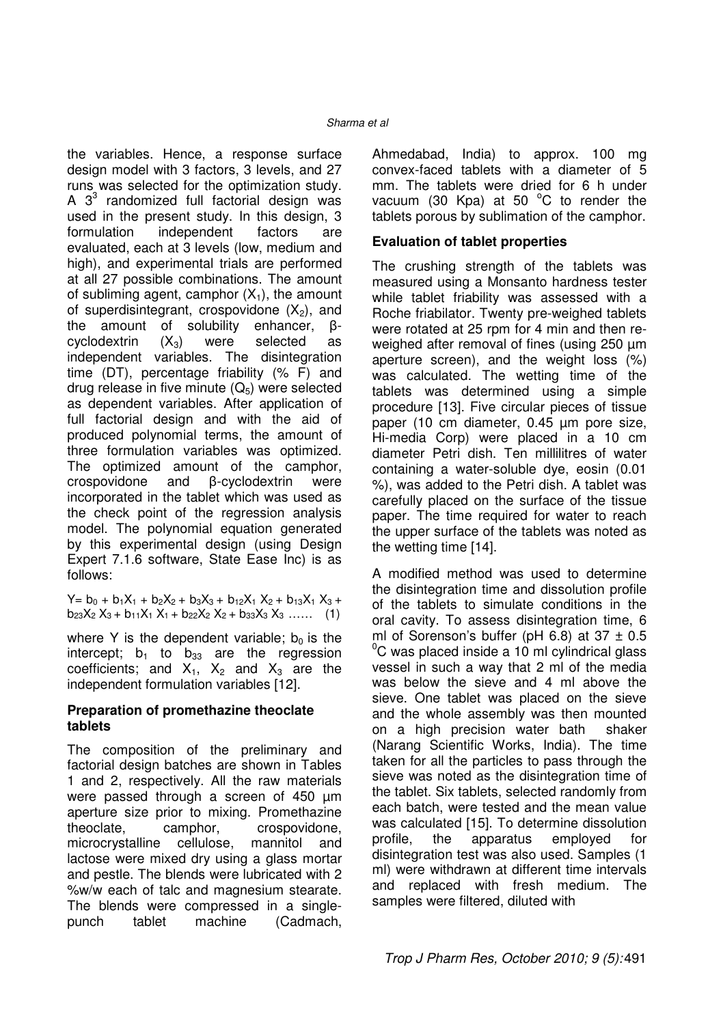the variables. Hence, a response surface design model with 3 factors, 3 levels, and 27 runs was selected for the optimization study. A  $3<sup>3</sup>$  randomized full factorial design was used in the present study. In this design, 3 formulation independent factors are evaluated, each at 3 levels (low, medium and high), and experimental trials are performed at all 27 possible combinations. The amount of subliming agent, camphor  $(X_1)$ , the amount of superdisintegrant, crospovidone  $(X_2)$ , and the amount of solubility enhancer, βcyclodextrin  $(X_3)$  were selected as independent variables. The disintegration time (DT), percentage friability (% F) and drug release in five minute  $(Q_5)$  were selected as dependent variables. After application of full factorial design and with the aid of produced polynomial terms, the amount of three formulation variables was optimized. The optimized amount of the camphor, crospovidone and β-cyclodextrin were incorporated in the tablet which was used as the check point of the regression analysis model. The polynomial equation generated by this experimental design (using Design Expert 7.1.6 software, State Ease Inc) is as follows:

 $Y = b_0 + b_1X_1 + b_2X_2 + b_3X_3 + b_12X_1X_2 + b_13X_1X_3 +$  $b_{23}X_2 X_3 + b_{11}X_1 X_1 + b_{22}X_2 X_2 + b_{33}X_3 X_3 \ldots$  (1)

where Y is the dependent variable;  $b_0$  is the intercept;  $b_1$  to  $b_{33}$  are the regression coefficients; and  $X_1$ ,  $X_2$  and  $X_3$  are the independent formulation variables [12].

### **Preparation of promethazine theoclate tablets**

The composition of the preliminary and factorial design batches are shown in Tables 1 and 2, respectively. All the raw materials were passed through a screen of 450 µm aperture size prior to mixing. Promethazine theoclate, camphor, crospovidone, microcrystalline cellulose, mannitol and lactose were mixed dry using a glass mortar and pestle. The blends were lubricated with 2 %w/w each of talc and magnesium stearate. The blends were compressed in a singlepunch tablet machine (Cadmach,

Ahmedabad, India) to approx. 100 mg convex-faced tablets with a diameter of 5 mm. The tablets were dried for 6 h under vacuum (30 Kpa) at 50  $^{\circ}$ C to render the tablets porous by sublimation of the camphor.

### **Evaluation of tablet properties**

The crushing strength of the tablets was measured using a Monsanto hardness tester while tablet friability was assessed with a Roche friabilator. Twenty pre-weighed tablets were rotated at 25 rpm for 4 min and then reweighed after removal of fines (using 250  $\mu$ m aperture screen), and the weight loss (%) was calculated. The wetting time of the tablets was determined using a simple procedure [13]. Five circular pieces of tissue paper (10 cm diameter, 0.45 µm pore size, Hi-media Corp) were placed in a 10 cm diameter Petri dish. Ten millilitres of water containing a water-soluble dye, eosin (0.01 %), was added to the Petri dish. A tablet was carefully placed on the surface of the tissue paper. The time required for water to reach the upper surface of the tablets was noted as the wetting time [14].

A modified method was used to determine the disintegration time and dissolution profile of the tablets to simulate conditions in the oral cavity. To assess disintegration time, 6 ml of Sorenson's buffer (pH 6.8) at  $37 \pm 0.5$  $\mathrm{^0C}$  was placed inside a 10 ml cylindrical glass vessel in such a way that 2 ml of the media was below the sieve and 4 ml above the sieve. One tablet was placed on the sieve and the whole assembly was then mounted on a high precision water bath shaker (Narang Scientific Works, India). The time taken for all the particles to pass through the sieve was noted as the disintegration time of the tablet. Six tablets, selected randomly from each batch, were tested and the mean value was calculated [15]. To determine dissolution profile, the apparatus employed for disintegration test was also used. Samples (1 ml) were withdrawn at different time intervals and replaced with fresh medium. The samples were filtered, diluted with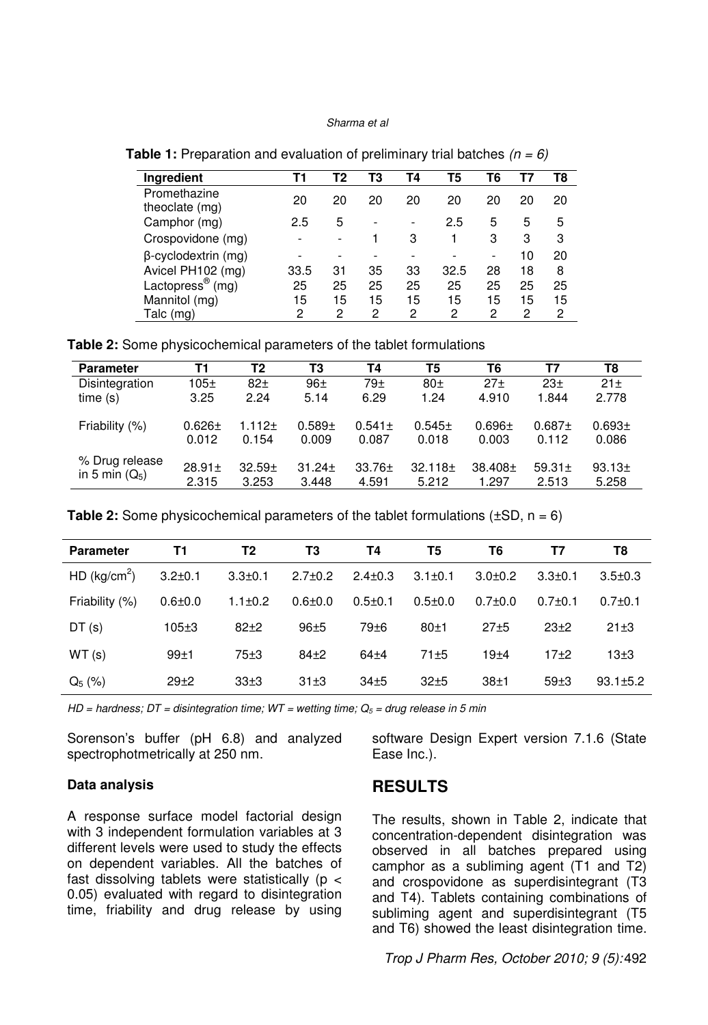| <b>Ingredient</b>               | Т1   | Т2 | ТЗ | Τ4 | T5   | Т6 | Τ7 | T8 |
|---------------------------------|------|----|----|----|------|----|----|----|
| Promethazine<br>theoclate (mg)  | 20   | 20 | 20 | 20 | 20   | 20 | 20 | 20 |
| Camphor (mg)                    | 2.5  | 5  |    |    | 2.5  | 5  | 5  | 5  |
| Crospovidone (mg)               |      | ۰  |    | З  |      | 3  | 3  | 3  |
| $\beta$ -cyclodextrin (mg)      |      | ٠  |    |    |      |    | 10 | 20 |
| Avicel PH102 (mg)               | 33.5 | 31 | 35 | 33 | 32.5 | 28 | 18 | 8  |
| Lactopress <sup>®</sup><br>(mq) | 25   | 25 | 25 | 25 | 25   | 25 | 25 | 25 |
| Mannitol (mg)                   | 15   | 15 | 15 | 15 | 15   | 15 | 15 | 15 |
| Talc (mg)                       | 2    | 2  | 2  | 2  | 2    | 2  | 2  | 2  |

**Table 1:** Preparation and evaluation of preliminary trial batches  $(n = 6)$ 

**Table 2:** Some physicochemical parameters of the tablet formulations

| <b>Parameter</b>                   | Τ1                   | T2                 | T3                   | Τ4                   | T5                    | T6                  | Τ7                   | T8                          |
|------------------------------------|----------------------|--------------------|----------------------|----------------------|-----------------------|---------------------|----------------------|-----------------------------|
| Disintegration                     | 105±                 | $82+$              | $96+$                | $79+$                | 80 <sub>±</sub>       | 27 <sub>±</sub>     | $23+$                | 21±                         |
| time(s)                            | 3.25                 | 2.24               | 5.14                 | 6.29                 | 1.24                  | 4.910               | 1.844                | 2.778                       |
| Friability (%)                     | $0.626 \pm$<br>0.012 | $1.112 +$<br>0.154 | $0.589 +$<br>0.009   | $0.541 \pm$<br>0.087 | $0.545 \pm$<br>0.018  | $0.696 +$<br>0.003  | $0.687 +$<br>0.112   | 0.693 <sub>±</sub><br>0.086 |
| % Drug release<br>in 5 min $(Q_5)$ | $28.91 \pm$<br>2.315 | $32.59+$<br>3.253  | $31.24 \pm$<br>3.448 | $33.76 \pm$<br>4.591 | $32.118 \pm$<br>5.212 | $38.408 +$<br>1.297 | $59.31 \pm$<br>2.513 | 93.13 <sub>±</sub><br>5.258 |

**Table 2:** Some physicochemical parameters of the tablet formulations  $(\pm SD, n = 6)$ 

| <b>Parameter</b>         | Τ1            | T2            | T3            | Т4            | T5            | T6            | Τ7               | T8             |
|--------------------------|---------------|---------------|---------------|---------------|---------------|---------------|------------------|----------------|
| HD (kg/cm <sup>2</sup> ) | $3.2 \pm 0.1$ | $3.3 \pm 0.1$ | $2.7 \pm 0.2$ | $2.4 \pm 0.3$ | $3.1 \pm 0.1$ | $3.0 + 0.2$   | $3.3 \pm 0.1$    | $3.5 \pm 0.3$  |
| Friability (%)           | $0.6 + 0.0$   | $1.1 \pm 0.2$ | $0.6 + 0.0$   | $0.5 \pm 0.1$ | $0.5 + 0.0$   | $0.7 \pm 0.0$ | $0.7 \pm 0.1$    | $0.7+0.1$      |
| DT(s)                    | $105 + 3$     | $82+2$        | $96 + 5$      | $79 + 6$      | $80+1$        | $27 + 5$      | $23+2$           | $21 \pm 3$     |
| WT(s)                    | $99+1$        | 75±3          | $84\pm2$      | $64 + 4$      | $71 + 5$      | $19 + 4$      | $17+2$           | 13±3           |
| $Q_5(%)$                 | $29 + 2$      | $33\pm3$      | 31±3          | $34 + 5$      | $32\pm5$      | 38±1          | 59 <sub>±3</sub> | $93.1 \pm 5.2$ |

HD = hardness;  $DT =$  disintegration time;  $WT =$  wetting time;  $Q_5 =$  drug release in 5 min

Sorenson's buffer (pH 6.8) and analyzed spectrophotmetrically at 250 nm.

### software Design Expert version 7.1.6 (State Ease Inc.).

#### **Data analysis**

A response surface model factorial design with 3 independent formulation variables at 3 different levels were used to study the effects on dependent variables. All the batches of fast dissolving tablets were statistically ( $p <$ 0.05) evaluated with regard to disintegration time, friability and drug release by using

### **RESULTS**

The results, shown in Table 2, indicate that concentration-dependent disintegration was observed in all batches prepared using camphor as a subliming agent (T1 and T2) and crospovidone as superdisintegrant (T3 and T4). Tablets containing combinations of subliming agent and superdisintegrant (T5 and T6) showed the least disintegration time.

Trop J Pharm Res, October 2010; 9 (5): 492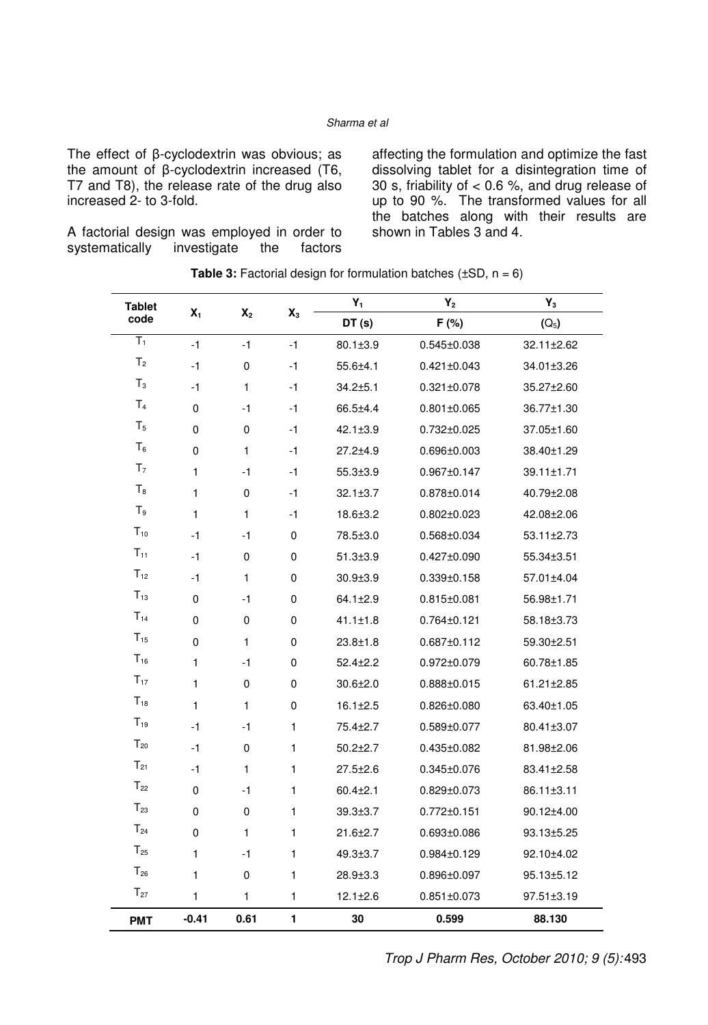The effect of β-cyclodextrin was obvious; as the amount of β-cyclodextrin increased (T6, T7 and T8), the release rate of the drug also increased 2- to 3-fold.

A factorial design was employed in order to<br>systematically investigate the factors systematically

affecting the formulation and optimize the fast dissolving tablet for a disintegration time of 30 s, friability of < 0.6 %, and drug release of up to 90 %. The transformed values for all the batches along with their results are shown in Tables 3 and 4.

| <b>Tablet</b><br>$X_1$    |              |                |              | $Y_1$                 | $Y_2$             | $Y_3$      |
|---------------------------|--------------|----------------|--------------|-----------------------|-------------------|------------|
| code                      |              | X <sub>2</sub> | $X_3$        | DT(s)                 | F (%)             | $(Q_5)$    |
| $\overline{\mathsf{T}}_1$ | $-1$         | $-1$           | $-1$         | $80.1 \pm 3.9$        | $0.545 \pm 0.038$ | 32.11±2.62 |
| T <sub>2</sub>            | $-1$         | 0              | $-1$         | $55.6{\pm}4.1$        | $0.421 \pm 0.043$ | 34.01±3.26 |
| $T_3$                     | $-1$         | $\mathbf{1}$   | $-1$         | $34.2 + 5.1$          | $0.321 \pm 0.078$ | 35.27±2.60 |
| T <sub>4</sub>            | 0            | $-1$           | $-1$         | 66.5±4.4              | $0.801 \pm 0.065$ | 36.77±1.30 |
| T <sub>5</sub>            | 0            | 0              | $-1$         | $42.1 \pm 3.9$        | $0.732 \pm 0.025$ | 37.05±1.60 |
| $T_6$                     | 0            | $\mathbf{1}$   | $-1$         | $27.2 + 4.9$          | $0.696 \pm 0.003$ | 38.40±1.29 |
| T <sub>7</sub>            | 1            | $-1$           | $-1$         | $55.3{\pm}3.9$        | $0.967 \pm 0.147$ | 39.11±1.71 |
| $T_8$                     | 1            | 0              | $-1$         | $32.1 \pm 3.7$        | $0.878 \pm 0.014$ | 40.79±2.08 |
| $T_9$                     | $\mathbf{1}$ | $\mathbf{1}$   | $-1$         | $18.6 \pm 3.2$        | $0.802 \pm 0.023$ | 42.08±2.06 |
| $T_{10}$                  | $-1$         | $-1$           | 0            | 78.5±3.0              | 0.568±0.034       | 53.11±2.73 |
| $T_{11}$                  | $-1$         | 0              | 0            | $51.3 \pm 3.9$        | $0.427 \pm 0.090$ | 55.34±3.51 |
| $T_{12}$                  | $-1$         | $\mathbf{1}$   | 0            | $30.9{\pm}3.9$        | $0.339 \pm 0.158$ | 57.01±4.04 |
| $T_{13}$                  | 0            | $-1$           | 0            | $64.1 \pm 2.9$        | $0.815 \pm 0.081$ | 56.98±1.71 |
| $T_{14}$                  | 0            | 0              | 0            | $41.1 \pm 1.8$        | $0.764 \pm 0.121$ | 58.18±3.73 |
| $T_{15}$                  | 0            | $\mathbf{1}$   | 0            | $23.8 \pm 1.8$        | 0.687±0.112       | 59.30±2.51 |
| $T_{16}$                  | 1            | $-1$           | 0            | $52.4 \pm 2.2$        | $0.972 \pm 0.079$ | 60.78±1.85 |
| $T_{17}$                  | 1            | 0              | 0            | $30.6 \pm 2.0$        | $0.888 \pm 0.015$ | 61.21±2.85 |
| $T_{18}$                  | $\mathbf{1}$ | 1              | $\Omega$     | $16.1 \pm 2.5$        | $0.826 \pm 0.080$ | 63.40±1.05 |
| $T_{19}$                  | $-1$         | $-1$           | 1            | 75.4 <sup>+</sup> 2.7 | $0.589 \pm 0.077$ | 80.41±3.07 |
| $T_{20}$                  | $-1$         | 0              | $\mathbf{1}$ | $50.2 \pm 2.7$        | $0.435 \pm 0.082$ | 81.98±2.06 |
| $T_{21}$                  | $-1$         | 1              | 1            | $27.5 \pm 2.6$        | $0.345 \pm 0.076$ | 83.41±2.58 |
| $T_{22}$                  | 0            | $-1$           | 1            | $60.4 \pm 2.1$        | $0.829 \pm 0.073$ | 86.11±3.11 |
| $T_{23}$                  | 0            | 0              | 1            | $39.3{\pm}3.7$        | $0.772 \pm 0.151$ | 90.12±4.00 |
| $T_{24}$                  | 0            | $\mathbf{1}$   | 1            | $21.6 \pm 2.7$        | $0.693 \pm 0.086$ | 93.13±5.25 |
| $T_{25}$                  | 1            | $-1$           | 1            | $49.3 \pm 3.7$        | $0.984 \pm 0.129$ | 92.10±4.02 |
| $T_{26}$                  | $\mathbf{1}$ | 0              | 1            | $28.9 \pm 3.3$        | $0.896 \pm 0.097$ | 95.13±5.12 |
| $T_{27}$                  | 1            | 1              | 1            | $12.1 \pm 2.6$        | $0.851 \pm 0.073$ | 97.51±3.19 |
| <b>PMT</b>                | $-0.41$      | 0.61           | 1            | 30                    | 0.599             | 88.130     |

**Table 3:** Factorial design for formulation batches  $(\pm SD, n = 6)$ 

Trop J Pharm Res, October 2010; 9 (5): 493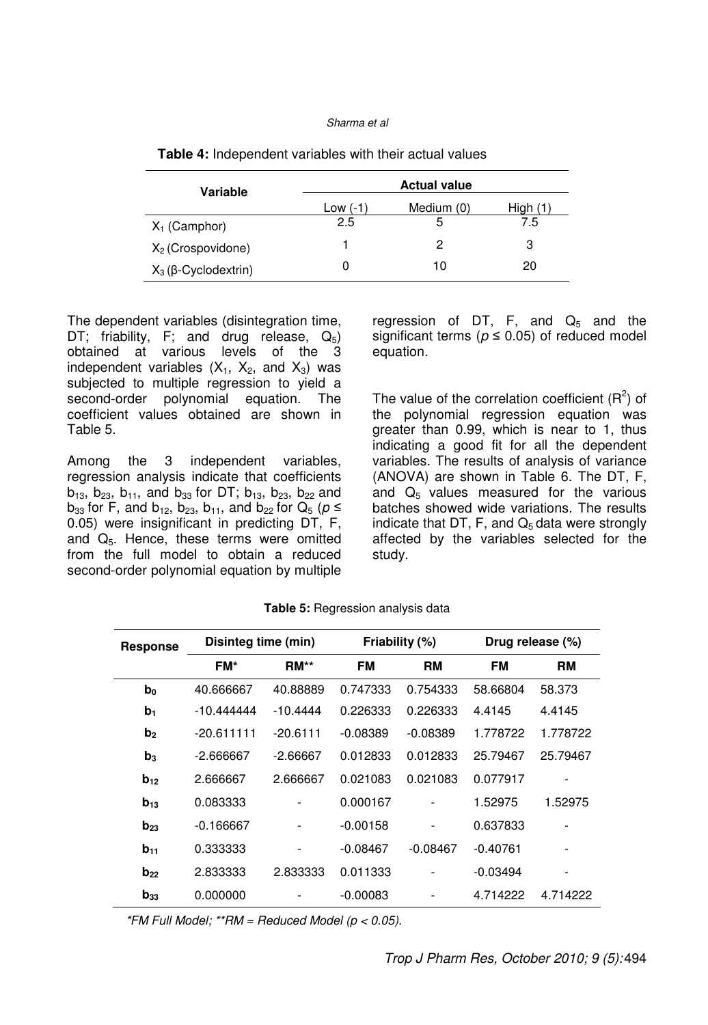| Variable                       | <b>Actual value</b> |            |          |  |  |  |
|--------------------------------|---------------------|------------|----------|--|--|--|
|                                | Low (-1             | Medium (0) | High (1) |  |  |  |
| $X_1$ (Camphor)                | 2.5                 | 5          | 7.5      |  |  |  |
| $X_2$ (Crospovidone)           |                     | 2          | 3        |  |  |  |
| $X_3$ ( $\beta$ -Cyclodextrin) |                     | 10         | 20       |  |  |  |

| <b>Table 4:</b> Independent variables with their actual values |  |
|----------------------------------------------------------------|--|
|----------------------------------------------------------------|--|

The dependent variables (disintegration time, DT; friability, F; and drug release,  $Q_5$ ) obtained at various levels of the 3 independent variables  $(X_1, X_2, \text{ and } X_3)$  was subjected to multiple regression to yield a second-order polynomial equation. The coefficient values obtained are shown in Table 5.

Among the 3 independent variables, regression analysis indicate that coefficients  $b_{13}$ ,  $b_{23}$ ,  $b_{11}$ , and  $b_{33}$  for DT;  $b_{13}$ ,  $b_{23}$ ,  $b_{22}$  and  $b_{33}$  for F, and  $b_{12}$ ,  $b_{23}$ ,  $b_{11}$ , and  $b_{22}$  for  $Q_5$  ( $p \le$ 0.05) were insignificant in predicting DT, F, and  $Q_5$ . Hence, these terms were omitted from the full model to obtain a reduced second-order polynomial equation by multiple regression of DT, F, and  $Q_5$  and the significant terms ( $p \le 0.05$ ) of reduced model equation.

The value of the correlation coefficient  $(R^2)$  of the polynomial regression equation was greater than 0.99, which is near to 1, thus indicating a good fit for all the dependent variables. The results of analysis of variance (ANOVA) are shown in Table 6. The DT, F, and  $Q_5$  values measured for the various batches showed wide variations. The results indicate that DT, F, and  $Q_5$  data were strongly affected by the variables selected for the study.

| <b>Response</b> | Disinteg time (min) |            | Friability (%) |                          |            | Drug release (%)             |
|-----------------|---------------------|------------|----------------|--------------------------|------------|------------------------------|
|                 | FM*                 | $RM**$     | <b>FM</b>      | <b>RM</b>                | <b>FM</b>  | RM                           |
| b <sub>0</sub>  | 40.666667           | 40.88889   | 0.747333       | 0.754333                 | 58.66804   | 58.373                       |
| b <sub>1</sub>  | $-10.444444$        | $-10.4444$ | 0.226333       | 0.226333                 | 4.4145     | 4.4145                       |
| b <sub>2</sub>  | $-20.611111$        | $-20.6111$ | $-0.08389$     | $-0.08389$               | 1.778722   | 1.778722                     |
| $\mathbf{b}_3$  | $-2.666667$         | $-2.66667$ | 0.012833       | 0.012833                 | 25.79467   | 25.79467                     |
| $b_{12}$        | 2.666667            | 2.666667   | 0.021083       | 0.021083                 | 0.077917   |                              |
| $b_{13}$        | 0.083333            |            | 0.000167       |                          | 1.52975    | 1.52975                      |
| $b_{23}$        | $-0.166667$         |            | $-0.00158$     | $\overline{\phantom{0}}$ | 0.637833   |                              |
| $b_{11}$        | 0.333333            | -          | $-0.08467$     | $-0.08467$               | $-0.40761$ |                              |
| $b_{22}$        | 2.833333            | 2.833333   | 0.011333       |                          | $-0.03494$ | $\qquad \qquad \blacksquare$ |
| $b_{33}$        | 0.000000            |            | $-0.00083$     |                          | 4.714222   | 4.714222                     |

**Table 5:** Regression analysis data

\*FM Full Model; \*\*RM = Reduced Model ( $p < 0.05$ ).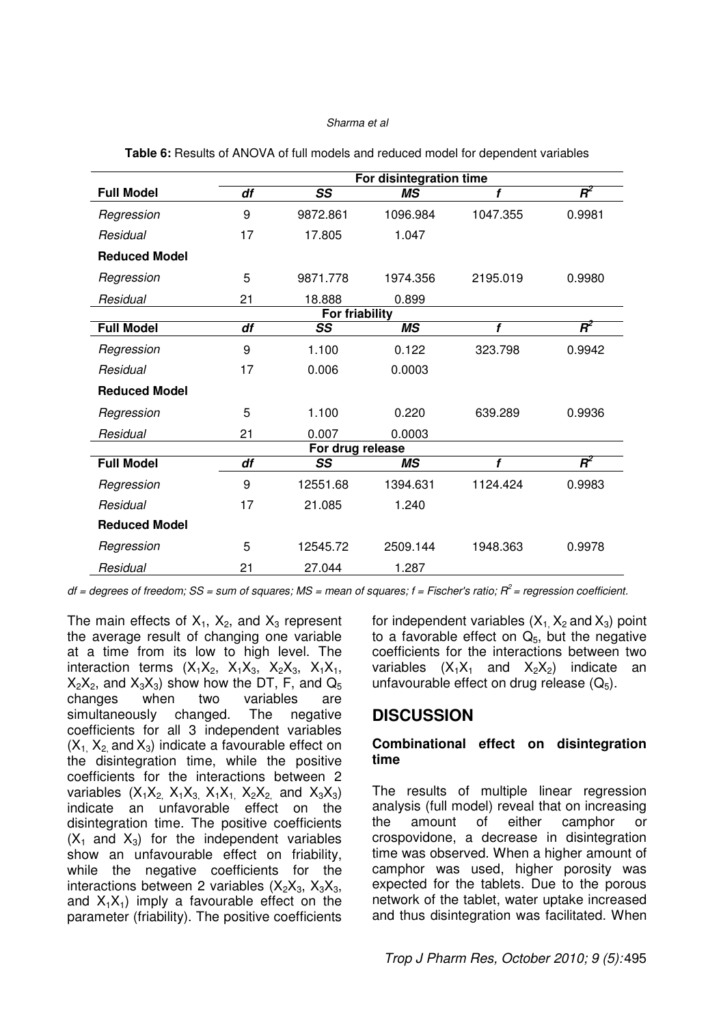|                      | For disintegration time |                  |           |          |        |  |  |  |
|----------------------|-------------------------|------------------|-----------|----------|--------|--|--|--|
| <b>Full Model</b>    | df                      | SS               | <b>MS</b> | f        | $R^2$  |  |  |  |
| Regression           | 9                       | 9872.861         | 1096.984  | 1047.355 | 0.9981 |  |  |  |
| Residual             | 17                      | 17.805           | 1.047     |          |        |  |  |  |
| <b>Reduced Model</b> |                         |                  |           |          |        |  |  |  |
| Regression           | 5                       | 9871.778         | 1974.356  | 2195.019 | 0.9980 |  |  |  |
| Residual             | 21                      | 18.888           | 0.899     |          |        |  |  |  |
|                      |                         | For friability   |           |          |        |  |  |  |
| <b>Full Model</b>    | df                      | SS               | <b>MS</b> | f        | $R^2$  |  |  |  |
| Regression           | 9                       | 1.100            | 0.122     | 323.798  | 0.9942 |  |  |  |
| Residual             | 17                      | 0.006            | 0.0003    |          |        |  |  |  |
| <b>Reduced Model</b> |                         |                  |           |          |        |  |  |  |
| Regression           | 5                       | 1.100            | 0.220     | 639.289  | 0.9936 |  |  |  |
| Residual             | 21                      | 0.007            | 0.0003    |          |        |  |  |  |
|                      |                         | For drug release |           |          |        |  |  |  |
| <b>Full Model</b>    | df                      | SS               | ΜS        | f        | $R^2$  |  |  |  |
| Regression           | 9                       | 12551.68         | 1394.631  | 1124.424 | 0.9983 |  |  |  |
| Residual             | 17                      | 21.085           | 1.240     |          |        |  |  |  |
| <b>Reduced Model</b> |                         |                  |           |          |        |  |  |  |
| Regression           | 5                       | 12545.72         | 2509.144  | 1948.363 | 0.9978 |  |  |  |
| Residual             | 21                      | 27.044           | 1.287     |          |        |  |  |  |

**Table 6:** Results of ANOVA of full models and reduced model for dependent variables

 $df = degrees of freedom$ ; SS = sum of squares; MS = mean of squares;  $f = Fischer's ratio$ ;  $R^2 = regression coefficient$ .

The main effects of  $X_1$ ,  $X_2$ , and  $X_3$  represent the average result of changing one variable at a time from its low to high level. The interaction terms  $(X_1X_2, X_1X_3, X_2X_3, X_1X_1,$  $X_2X_2$ , and  $X_3X_3$ ) show how the DT, F, and  $Q_5$  changes when two variables are two variables are simultaneously changed. The negative coefficients for all 3 independent variables  $(X_1, X_2, X_3)$  indicate a favourable effect on the disintegration time, while the positive coefficients for the interactions between 2 variables  $(X_1X_2, X_1X_3, X_1X_1, X_2X_2,$  and  $X_3X_3)$ indicate an unfavorable effect on the disintegration time. The positive coefficients  $(X_1$  and  $X_3)$  for the independent variables show an unfavourable effect on friability, while the negative coefficients for the interactions between 2 variables  $(X_2X_3, X_3X_3, X_4X_4)$ and  $X_1X_1$ ) imply a favourable effect on the parameter (friability). The positive coefficients for independent variables  $(X_1, X_2, X_3)$  point to a favorable effect on  $Q<sub>5</sub>$ , but the negative coefficients for the interactions between two variables  $(X_1X_1$  and  $X_2X_2$ ) indicate an unfavourable effect on drug release  $(Q_5)$ .

### **DISCUSSION**

### **Combinational effect on disintegration time**

The results of multiple linear regression analysis (full model) reveal that on increasing the amount of either camphor or crospovidone, a decrease in disintegration time was observed. When a higher amount of camphor was used, higher porosity was expected for the tablets. Due to the porous network of the tablet, water uptake increased and thus disintegration was facilitated. When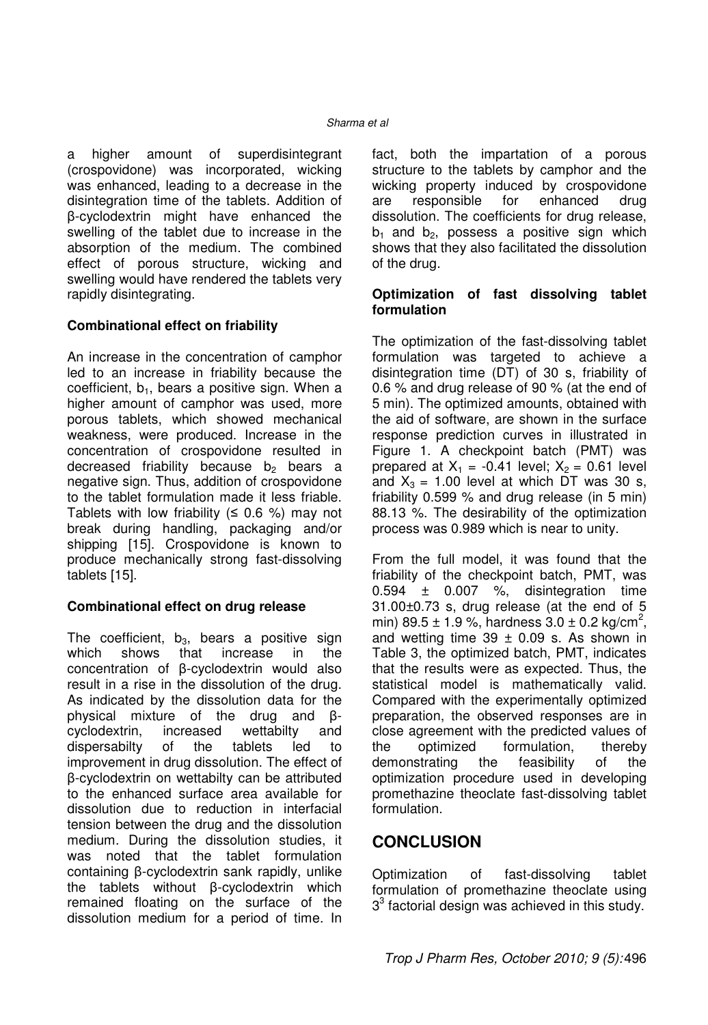a higher amount of superdisintegrant (crospovidone) was incorporated, wicking was enhanced, leading to a decrease in the disintegration time of the tablets. Addition of β-cyclodextrin might have enhanced the swelling of the tablet due to increase in the absorption of the medium. The combined effect of porous structure, wicking and swelling would have rendered the tablets very rapidly disintegrating.

### **Combinational effect on friability**

An increase in the concentration of camphor led to an increase in friability because the coefficient,  $b_1$ , bears a positive sign. When a higher amount of camphor was used, more porous tablets, which showed mechanical weakness, were produced. Increase in the concentration of crospovidone resulted in decreased friability because  $b_2$  bears a negative sign. Thus, addition of crospovidone to the tablet formulation made it less friable. Tablets with low friability ( $\leq$  0.6 %) may not break during handling, packaging and/or shipping [15]. Crospovidone is known to produce mechanically strong fast-dissolving tablets [15].

### **Combinational effect on drug release**

The coefficient,  $b_3$ , bears a positive sign which shows that increase in the concentration of β-cyclodextrin would also result in a rise in the dissolution of the drug. As indicated by the dissolution data for the physical mixture of the drug and βcyclodextrin, increased wettabilty and dispersabilty of the tablets led to improvement in drug dissolution. The effect of β-cyclodextrin on wettabilty can be attributed to the enhanced surface area available for dissolution due to reduction in interfacial tension between the drug and the dissolution medium. During the dissolution studies, it was noted that the tablet formulation containing β-cyclodextrin sank rapidly, unlike the tablets without β-cyclodextrin which remained floating on the surface of the dissolution medium for a period of time. In fact, both the impartation of a porous structure to the tablets by camphor and the wicking property induced by crospovidone are responsible for enhanced drug dissolution. The coefficients for drug release,  $b_1$  and  $b_2$ , possess a positive sign which shows that they also facilitated the dissolution of the drug.

### **Optimization of fast dissolving tablet formulation**

The optimization of the fast-dissolving tablet formulation was targeted to achieve a disintegration time (DT) of 30 s, friability of 0.6 % and drug release of 90 % (at the end of 5 min). The optimized amounts, obtained with the aid of software, are shown in the surface response prediction curves in illustrated in Figure 1. A checkpoint batch (PMT) was prepared at  $X_1 = -0.41$  level;  $X_2 = 0.61$  level and  $X_3 = 1.00$  level at which DT was 30 s, friability 0.599 % and drug release (in 5 min) 88.13 %. The desirability of the optimization process was 0.989 which is near to unity.

From the full model, it was found that the friability of the checkpoint batch, PMT, was  $0.594 \pm 0.007$  %, disintegration time 31.00±0.73 s, drug release (at the end of 5 min) 89.5 ± 1.9 %, hardness  $3.0 \pm 0.2$  kg/cm<sup>2</sup>, and wetting time  $39 \pm 0.09$  s. As shown in Table 3, the optimized batch, PMT, indicates that the results were as expected. Thus, the statistical model is mathematically valid. Compared with the experimentally optimized preparation, the observed responses are in close agreement with the predicted values of the optimized formulation, thereby demonstrating the feasibility of the optimization procedure used in developing promethazine theoclate fast-dissolving tablet formulation.

### **CONCLUSION**

Optimization of fast-dissolving tablet formulation of promethazine theoclate using  $3<sup>3</sup>$  factorial design was achieved in this study.